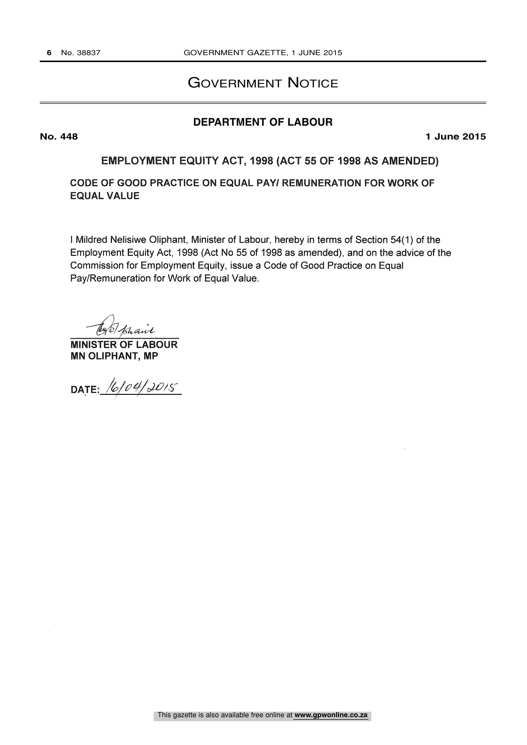## GOVERNMENT NOTICE

## **DEPARTMENT OF LABOUR**

**No. 448 1 June 2015**

EMPLOYMENT EQUITY ACT, 1998 (ACT 55 OF 1998 AS AMENDED)

CODE OF GOOD PRACTICE ON EQUAL PAY/ REMUNERATION FOR WORK OF EQUAL VALUE

I Mildred Nelisiwe Oliphant, Minister of Labour, hereby in terms of Section 54(1) of the Employment Equity Act, 1998 (Act No 55 of 1998 as amended), and on the advice of the Commission for Employment Equity, issue a Code of Good Practice on Equal Pay/Remuneration for Work of Equal Value.

Tey of phair

MINISTER OF LABOUR MN OLIPHANT, MP

DATE: 16/04/2015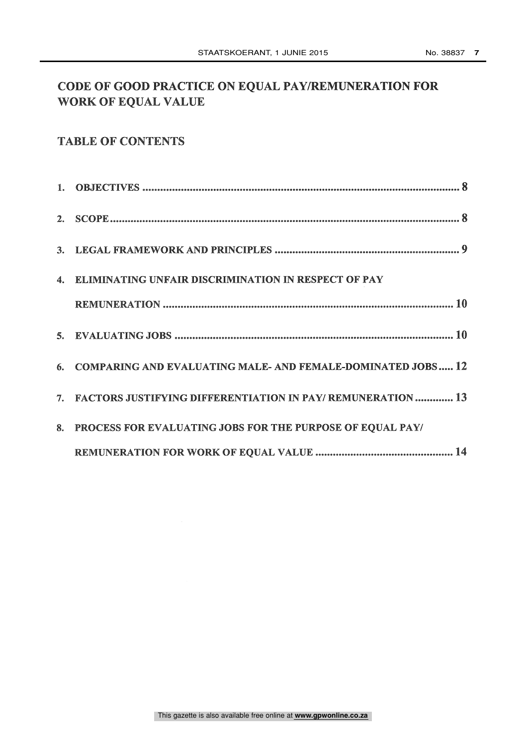# CODE OF GOOD PRACTICE ON EQUAL PAY/REMUNERATION FOR WORK OF EQUAL VALUE

# TABLE OF CONTENTS

| 4. ELIMINATING UNFAIR DISCRIMINATION IN RESPECT OF PAY        |
|---------------------------------------------------------------|
|                                                               |
|                                                               |
| 6. COMPARING AND EVALUATING MALE-AND FEMALE-DOMINATED JOBS 12 |
| 7. FACTORS JUSTIFYING DIFFERENTIATION IN PAY/REMUNERATION 13  |
| 8. PROCESS FOR EVALUATING JOBS FOR THE PURPOSE OF EQUAL PAY/  |
|                                                               |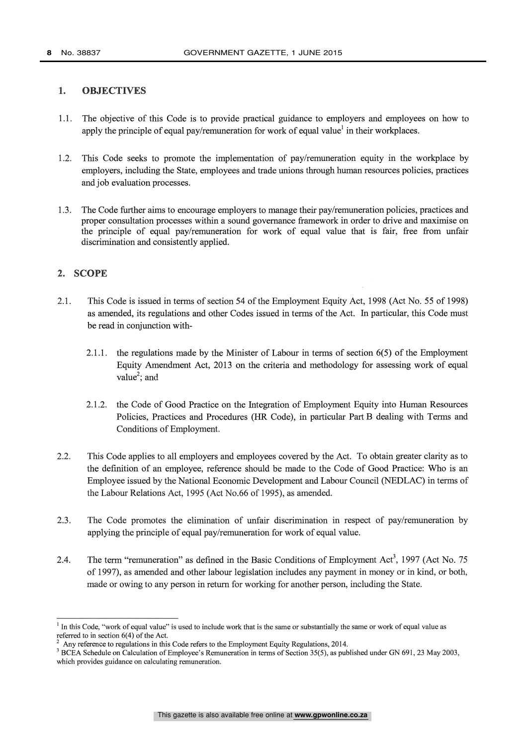#### 1. OBJECTIVES

- 1.1. The objective of this Code is to provide practical guidance to employers and employees on how to apply the principle of equal pay/remuneration for work of equal value<sup>1</sup> in their workplaces.
- 1.2. This Code seeks to promote the implementation of pay/remuneration equity in the workplace by employers, including the State, employees and trade unions through human resources policies, practices and job evaluation processes.
- 1.3. The Code further aims to encourage employers to manage their pay /remuneration policies, practices and proper consultation processes within a sound governance framework in order to drive and maximise on the principle of equal pay/remuneration for work of equal value that is fair, free from unfair discrimination and consistently applied.

#### 2. SCOPE

- 2.1. This Code is issued in terms of section 54 of the Employment Equity Act, 1998 (Act No. 55 of 1998) as amended, its regulations and other Codes issued in terms of the Act. In particular, this Code must be read in conjunction with-
	- 2.1.1. the regulations made by the Minister of Labour in terms of section 6(5) of the Employment Equity Amendment Act, 2013 on the criteria and methodology for assessing work of equal value<sup>2</sup>; and
	- 2.1.2. the Code of Good Practice on the Integration of Employment Equity into Human Resources Policies, Practices and Procedures (HR Code), in particular Part B dealing with Terms and Conditions of Employment.
- 2.2. This Code applies to all employers and employees covered by the Act. To obtain greater clarity as to the definition of an employee, reference should be made to the Code of Good Practice: Who is an Employee issued by the National Economic Development and Labour Council (NEDLAC) in terms of the Labour Relations Act, 1995 (Act No.66 of 1995), as amended.
- 2.3. The Code promotes the elimination of unfair discrimination in respect of pay/remuneration by applying the principle of equal pay/remuneration for work of equal value.
- 2.4. The term "remuneration" as defined in the Basic Conditions of Employment Act<sup>3</sup>, 1997 (Act No. 75) of 1997), as amended and other labour legislation includes any payment in money or in kind, or both, made or owing to any person in return for working for another person, including the State.

 $<sup>1</sup>$  In this Code, "work of equal value" is used to include work that is the same or substantially the same or work of equal value as</sup> referred to in section 6(4) of the Act.

<sup>2</sup> Any reference to regulations in this Code refers to the Employment Equity Regulations, 2014.

<sup>&</sup>lt;sup>3</sup> BCEA Schedule on Calculation of Employee's Remuneration in terms of Section 35(5), as published under GN 691, 23 May 2003, which provides guidance on calculating remuneration.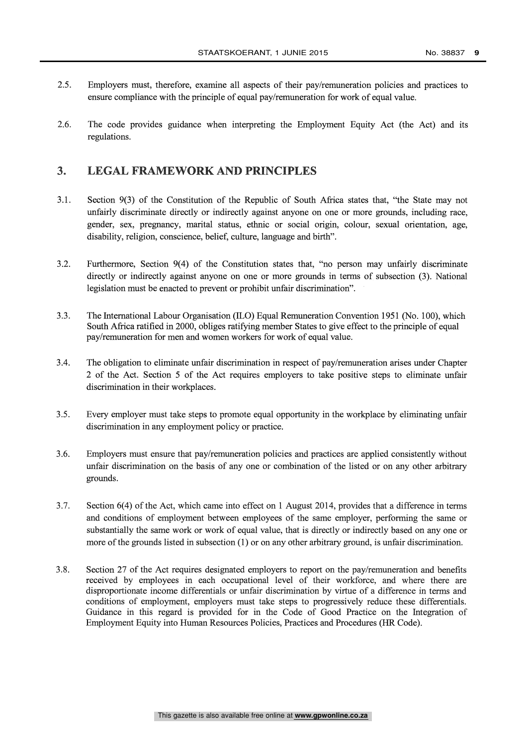- 2.5. Employers must, therefore, examine all aspects of their pay/remuneration policies and practices to ensure compliance with the principle of equal pay/remuneration for work of equal value.
- 2.6. The code provides guidance when interpreting the Employment Equity Act (the Act) and its regulations.

### 3. LEGAL FRAMEWORK AND PRINCIPLES

- 3.1. Section 9(3) of the Constitution of the Republic of South Africa states that, "the State may not unfairly discriminate directly or indirectly against anyone on one or more grounds, including race, gender, sex, pregnancy, marital status, ethnic or social origin, colour, sexual orientation, age, disability, religion, conscience, belief, culture, language and birth".
- 3.2. Furthermore, Section 9(4) of the Constitution states that, "no person may unfairly discriminate directly or indirectly against anyone on one or more grounds in terms of subsection (3). National legislation must be enacted to prevent or prohibit unfair discrimination".
- 3.3. The International Labour Organisation (ILO) Equal Remuneration Convention 1951 (No. 100), which South Africa ratified in 2000, obliges ratifying member States to give effect to the principle of equal pay/remuneration for men and women workers for work of equal value.
- 3.4. The obligation to eliminate unfair discrimination in respect of pay/remuneration arises under Chapter 2 of the Act. Section 5 of the Act requires employers to take positive steps to eliminate unfair discrimination in their workplaces.
- 3.5. Every employer must take steps to promote equal opportunity in the workplace by eliminating unfair discrimination in any employment policy or practice.
- 3.6. Employers must ensure that pay/remuneration policies and practices are applied consistently without unfair discrimination on the basis of any one or combination of the listed or on any other arbitrary grounds.
- 3.7. Section 6(4) of the Act, which came into effect on 1 August 2014, provides that a difference in terms and conditions of employment between employees of the same employer, performing the same or substantially the same work or work of equal value, that is directly or indirectly based on any one or more of the grounds listed in subsection (1) or on any other arbitrary ground, is unfair discrimination.
- 3.8. Section 27 of the Act requires designated employers to report on the pay/remuneration and benefits received by employees in each occupational level of their workforce, and where there are disproportionate income differentials or unfair discrimination by virtue of a difference in terms and conditions of employment, employers must take steps to progressively reduce these differentials. Guidance in this regard is provided for in the Code of Good Practice on the Integration of Employment Equity into Human Resources Policies, Practices and Procedures (HR Code).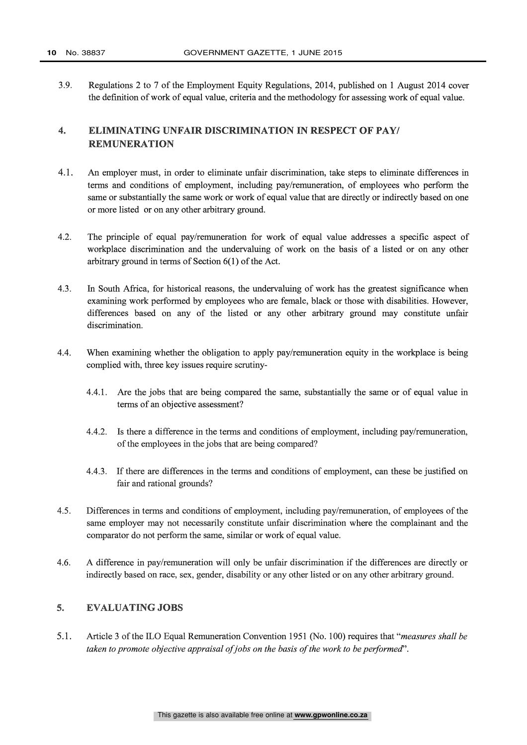3.9. Regulations 2 to 7 of the Employment Equity Regulations, 2014, published on 1 August 2014 cover the definition of work of equal value, criteria and the methodology for assessing work of equal value.

### 4. ELIMINATING UNFAIR DISCRIMINATION IN RESPECT OF PAY/ REMUNERATION

- 4.1. An employer must, in order to eliminate unfair discrimination, take steps to eliminate differences in terms and conditions of employment, including pay /remuneration, of employees who perform the same or substantially the same work or work of equal value that are directly or indirectly based on one or more listed or on any other arbitrary ground.
- 4.2. The principle of equal pay/remuneration for work of equal value addresses a specific aspect of workplace discrimination and the undervaluing of work on the basis of a listed or on any other arbitrary ground in terms of Section 6(1) of the Act.
- 4.3. In South Africa, for historical reasons, the undervaluing of work has the greatest significance when examining work performed by employees who are female, black or those with disabilities. However, differences based on any of the listed or any other arbitrary ground may constitute unfair discrimination.
- 4.4. When examining whether the obligation to apply pay/remuneration equity in the workplace is being complied with, three key issues require scrutiny-
	- 4.4.1. Are the jobs that are being compared the same, substantially the same or of equal value in terms of an objective assessment?
	- 4.4.2. Is there a difference in the terms and conditions of employment, including pay/remuneration, of the employees in the jobs that are being compared?
	- 4.4.3. If there are differences in the terms and conditions of employment, can these be justified on fair and rational grounds?
- 4.5. Differences in terms and conditions of employment, including pay/remuneration, of employees of the same employer may not necessarily constitute unfair discrimination where the complainant and the comparator do not perform the same, similar or work of equal value.
- 4.6. A difference in pay/remuneration will only be unfair discrimination if the differences are directly or indirectly based on race, sex, gender, disability or any other listed or on any other arbitrary ground.

### 5. EVALUATING JOBS

5.1. Article 3 of the ILO Equal Remuneration Convention 1951 (No. 100) requires that "measures shall be taken to promote objective appraisal of jobs on the basis of the work to be performed".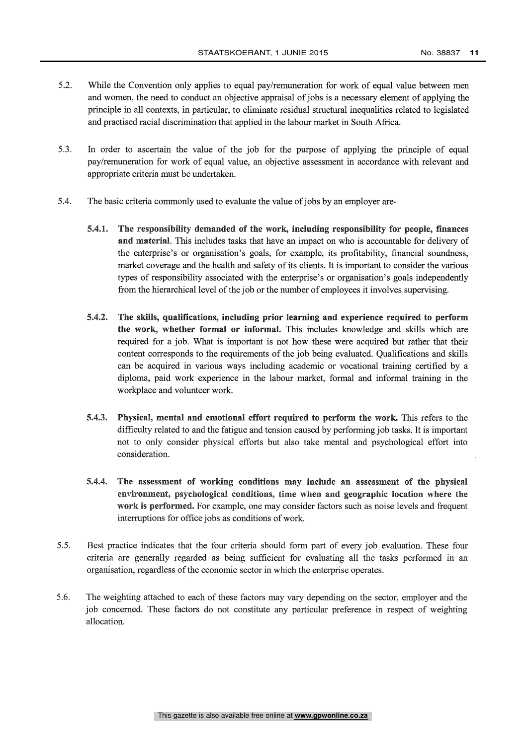- 5.2. While the Convention only applies to equal pay/remuneration for work of equal value between men and women, the need to conduct an objective appraisal of jobs is a necessary element of applying the principle in all contexts, in particular, to eliminate residual structural inequalities related to legislated and practised racial discrimination that applied in the labour market in South Africa.
- 5.3. In order to ascertain the value of the job for the purpose of applying the principle of equal pay /remuneration for work of equal value, an objective assessment in accordance with relevant and appropriate criteria must be undertaken.
- 5.4. The basic criteria commonly used to evaluate the value of jobs by an employer are-
	- 5.4.1. The responsibility demanded of the work, including responsibility for people, finances and material. This includes tasks that have an impact on who is accountable for delivery of the enterprise's or organisation's goals, for example, its profitability, financial soundness, market coverage and the health and safety of its clients. It is important to consider the various types of responsibility associated with the enterprise's or organisation's goals independently from the hierarchical level of the job or the number of employees it involves supervising.
	- 5.4.2. The skills, qualifications, including prior learning and experience required to perform the work, whether formal or informal. This includes knowledge and skills which are required for a job. What is important is not how these were acquired but rather that their content corresponds to the requirements of the job being evaluated. Qualifications and skills can be acquired in various ways including academic or vocational training certified by a diploma, paid work experience in the labour market, formal and informal training in the workplace and volunteer work.
	- 5.4.3. Physical, mental and emotional effort required to perform the work. This refers to the difficulty related to and the fatigue and tension caused by performing job tasks. It is important not to only consider physical efforts but also take mental and psychological effort into consideration.
	- 5.4.4. The assessment of working conditions may include an assessment of the physical environment, psychological conditions, time when and geographic location where the work is performed. For example, one may consider factors such as noise levels and frequent interruptions for office jobs as conditions of work.
- 5.5. Best practice indicates that the four criteria should form part of every job evaluation. These four criteria are generally regarded as being sufficient for evaluating all the tasks performed in an organisation, regardless of the economic sector in which the enterprise operates.
- 5.6. The weighting attached to each of these factors may vary depending on the sector, employer and the job concerned. These factors do not constitute any particular preference in respect of weighting allocation.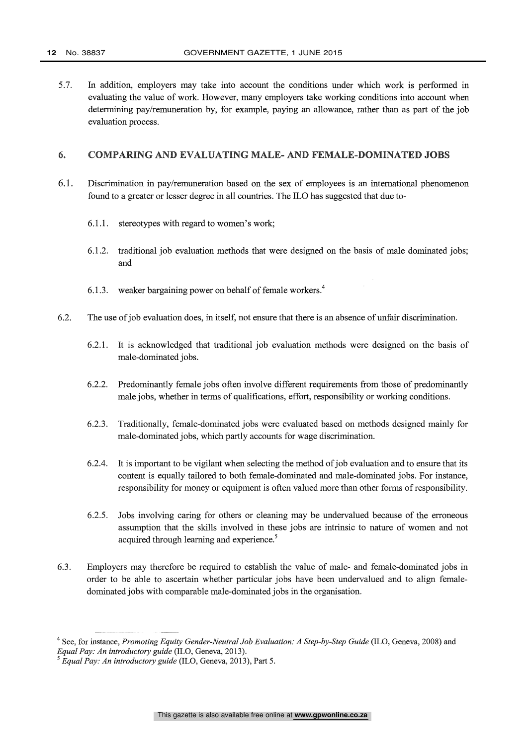5.7. In addition, employers may take into account the conditions under which work is performed in evaluating the value of work. However, many employers take working conditions into account when determining pay/remuneration by, for example, paying an allowance, rather than as part of the job evaluation process.

#### 6. COMPARING AND EVALUATING MALE - AND FEMALE -DOMINATED JOBS

- 6.1. Discrimination in pay /remuneration based on the sex of employees is an international phenomenon found to a greater or lesser degree in all countries. The ILO has suggested that due to-
	- 6.1.1. stereotypes with regard to women's work;
	- 6.1.2. traditional job evaluation methods that were designed on the basis of male dominated jobs; and
	- 6.1.3. weaker bargaining power on behalf of female workers.<sup>4</sup>
- 6.2. The use of job evaluation does, in itself, not ensure that there is an absence of unfair discrimination.
	- 6.2.1. It is acknowledged that traditional job evaluation methods were designed on the basis of male -dominated jobs.
	- 6.2.2. Predominantly female jobs often involve different requirements from those of predominantly male jobs, whether in terms of qualifications, effort, responsibility or working conditions.
	- 6.2.3. Traditionally, female -dominated jobs were evaluated based on methods designed mainly for male -dominated jobs, which partly accounts for wage discrimination.
	- 6.2.4. It is important to be vigilant when selecting the method of job evaluation and to ensure that its content is equally tailored to both female -dominated and male- dominated jobs. For instance, responsibility for money or equipment is often valued more than other forms of responsibility.
	- 6.2.5. Jobs involving caring for others or cleaning may be undervalued because of the erroneous assumption that the skills involved in these jobs are intrinsic to nature of women and not acquired through learning and experience.<sup>5</sup>
- 6.3. Employers may therefore be required to establish the value of male- and female -dominated jobs in order to be able to ascertain whether particular jobs have been undervalued and to align female dominated jobs with comparable male -dominated jobs in the organisation.

This gazette is also available free online at **www.gpwonline.co.za**

<sup>&</sup>lt;sup>4</sup> See, for instance, Promoting Equity Gender-Neutral Job Evaluation: A Step-by-Step Guide (ILO, Geneva, 2008) and Equal Pay: An introductory guide (ILO, Geneva, 2013).

 $\overline{5}$  Equal Pay: An introductory guide (ILO, Geneva, 2013), Part 5.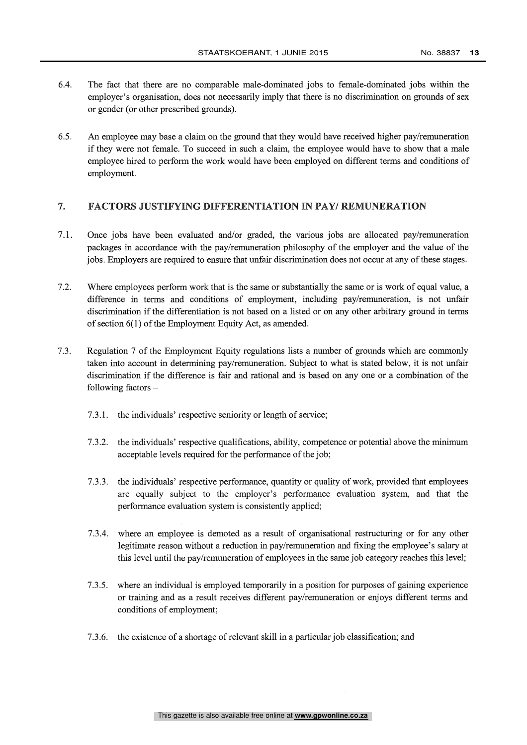- 6.4. The fact that there are no comparable male -dominated jobs to female -dominated jobs within the employer's organisation, does not necessarily imply that there is no discrimination on grounds of sex or gender (or other prescribed grounds).
- 6.5. An employee may base a claim on the ground that they would have received higher pay /remuneration if they were not female. To succeed in such a claim, the employee would have to show that a male employee hired to perform the work would have been employed on different terms and conditions of employment.

#### 7. FACTORS JUSTIFYING DIFFERENTIATION IN PAY/ REMUNERATION

- 7.1. Once jobs have been evaluated and/or graded, the various jobs are allocated pay/remuneration packages in accordance with the pay /remuneration philosophy of the employer and the value of the jobs. Employers are required to ensure that unfair discrimination does not occur at any of these stages.
- 7.2. Where employees perform work that is the same or substantially the same or is work of equal value, a difference in terms and conditions of employment, including pay/remuneration, is not unfair discrimination if the differentiation is not based on a listed or on any other arbitrary ground in terms of section 6(1) of the Employment Equity Act, as amended.
- 7.3. Regulation 7 of the Employment Equity regulations lists a number of grounds which are commonly taken into account in determining pay/remuneration. Subject to what is stated below, it is not unfair discrimination if the difference is fair and rational and is based on any one or a combination of the following factors  $-$ 
	- 7.3.1. the individuals' respective seniority or length of service;
	- 7.3.2. the individuals' respective qualifications, ability, competence or potential above the minimum acceptable levels required for the performance of the job;
	- 7.3.3. the individuals' respective performance, quantity or quality of work, provided that employees are equally subject to the employer's performance evaluation system, and that the performance evaluation system is consistently applied;
	- 7.3.4. where an employee is demoted as a result of organisational restructuring or for any other legitimate reason without a reduction in pay/remuneration and fixing the employee's salary at this level until the pay/remuneration of employees in the same job category reaches this level;
	- 7.3.5. where an individual is employed temporarily in a position for purposes of gaining experience or training and as a result receives different pay /remuneration or enjoys different terms and conditions of employment;
	- 7.3.6. the existence of a shortage of relevant skill in a particular job classification; and